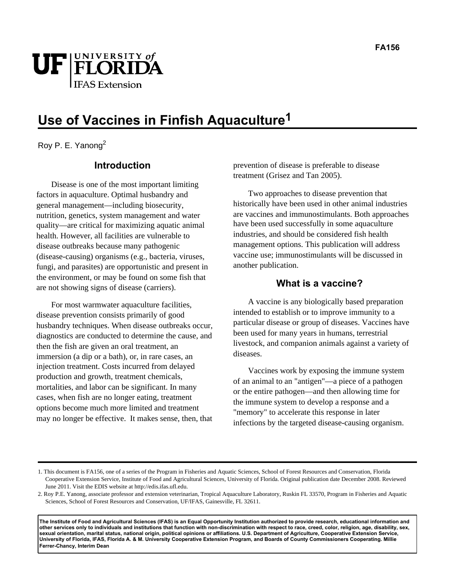

# **Use of Vaccines in Finfish Aquaculture1**

Roy P. E. Yanong<sup>2</sup>

# **Introduction**

Disease is one of the most important limiting factors in aquaculture. Optimal husbandry and general management—including biosecurity, nutrition, genetics, system management and water quality—are critical for maximizing aquatic animal health. However, all facilities are vulnerable to disease outbreaks because many pathogenic (disease-causing) organisms (e.g., bacteria, viruses, fungi, and parasites) are opportunistic and present in the environment, or may be found on some fish that are not showing signs of disease (carriers).

For most warmwater aquaculture facilities, disease prevention consists primarily of good husbandry techniques. When disease outbreaks occur, diagnostics are conducted to determine the cause, and then the fish are given an oral treatment, an immersion (a dip or a bath), or, in rare cases, an injection treatment. Costs incurred from delayed production and growth, treatment chemicals, mortalities, and labor can be significant. In many cases, when fish are no longer eating, treatment options become much more limited and treatment may no longer be effective. It makes sense, then, that prevention of disease is preferable to disease treatment (Grisez and Tan 2005).

Two approaches to disease prevention that historically have been used in other animal industries are vaccines and immunostimulants. Both approaches have been used successfully in some aquaculture industries, and should be considered fish health management options. This publication will address vaccine use; immunostimulants will be discussed in another publication.

### **What is a vaccine?**

A vaccine is any biologically based preparation intended to establish or to improve immunity to a particular disease or group of diseases. Vaccines have been used for many years in humans, terrestrial livestock, and companion animals against a variety of diseases.

Vaccines work by exposing the immune system of an animal to an "antigen"—a piece of a pathogen or the entire pathogen—and then allowing time for the immune system to develop a response and a "memory" to accelerate this response in later infections by the targeted disease-causing organism.

**The Institute of Food and Agricultural Sciences (IFAS) is an Equal Opportunity Institution authorized to provide research, educational information and other services only to individuals and institutions that function with non-discrimination with respect to race, creed, color, religion, age, disability, sex, sexual orientation, marital status, national origin, political opinions or affiliations. U.S. Department of Agriculture, Cooperative Extension Service, University of Florida, IFAS, Florida A. & M. University Cooperative Extension Program, and Boards of County Commissioners Cooperating. Millie Ferrer-Chancy, Interim Dean** 

<sup>1.</sup> This document is FA156, one of a series of the Program in Fisheries and Aquatic Sciences, School of Forest Resources and Conservation, Florida Cooperative Extension Service, Institute of Food and Agricultural Sciences, University of Florida. Original publication date December 2008. Reviewed June 2011. Visit the EDIS website at http://edis.ifas.ufl.edu.

<sup>2.</sup> Roy P.E. Yanong, associate professor and extension veterinarian, Tropical Aquaculture Laboratory, Ruskin FL 33570, Program in Fisheries and Aquatic Sciences, School of Forest Resources and Conservation, UF/IFAS, Gainesville, FL 32611.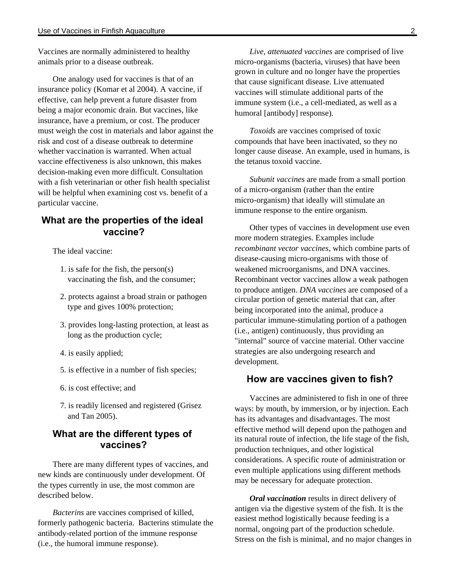Vaccines are normally administered to healthy animals prior to a disease outbreak.

One analogy used for vaccines is that of an insurance policy (Komar et al 2004). A vaccine, if effective, can help prevent a future disaster from being a major economic drain. But vaccines, like insurance, have a premium, or cost. The producer must weigh the cost in materials and labor against the risk and cost of a disease outbreak to determine whether vaccination is warranted. When actual vaccine effectiveness is also unknown, this makes decision-making even more difficult. Consultation with a fish veterinarian or other fish health specialist will be helpful when examining cost vs. benefit of a particular vaccine.

### **What are the properties of the ideal vaccine?**

The ideal vaccine:

- 1. is safe for the fish, the person(s) vaccinating the fish, and the consumer;
- 2. protects against a broad strain or pathogen type and gives 100% protection;
- 3. provides long-lasting protection, at least as long as the production cycle;
- 4. is easily applied;
- 5. is effective in a number of fish species;
- 6. is cost effective; and
- 7. is readily licensed and registered (Grisez and Tan 2005).

## **What are the different types of vaccines?**

There are many different types of vaccines, and new kinds are continuously under development. Of the types currently in use, the most common are described below.

*Bacterins* are vaccines comprised of killed, formerly pathogenic bacteria. Bacterins stimulate the antibody-related portion of the immune response (i.e., the humoral immune response).

*Live, attenuated vaccines* are comprised of live micro-organisms (bacteria, viruses) that have been grown in culture and no longer have the properties that cause significant disease. Live attenuated vaccines will stimulate additional parts of the immune system (i.e., a cell-mediated, as well as a humoral [antibody] response).

*Toxoids* are vaccines comprised of toxic compounds that have been inactivated, so they no longer cause disease. An example, used in humans, is the tetanus toxoid vaccine.

*Subunit vaccines* are made from a small portion of a micro-organism (rather than the entire micro-organism) that ideally will stimulate an immune response to the entire organism.

Other types of vaccines in development use even more modern strategies. Examples include *recombinant vector vaccines*, which combine parts of disease-causing micro-organisms with those of weakened microorganisms, and DNA vaccines. Recombinant vector vaccines allow a weak pathogen to produce antigen. *DNA vaccines* are composed of a circular portion of genetic material that can, after being incorporated into the animal, produce a particular immune-stimulating portion of a pathogen (i.e., antigen) continuously, thus providing an "internal" source of vaccine material. Other vaccine strategies are also undergoing research and development.

#### **How are vaccines given to fish?**

Vaccines are administered to fish in one of three ways: by mouth, by immersion, or by injection. Each has its advantages and disadvantages. The most effective method will depend upon the pathogen and its natural route of infection, the life stage of the fish, production techniques, and other logistical considerations. A specific route of administration or even multiple applications using different methods may be necessary for adequate protection.

*Oral vaccination* results in direct delivery of antigen via the digestive system of the fish. It is the easiest method logistically because feeding is a normal, ongoing part of the production schedule. Stress on the fish is minimal, and no major changes in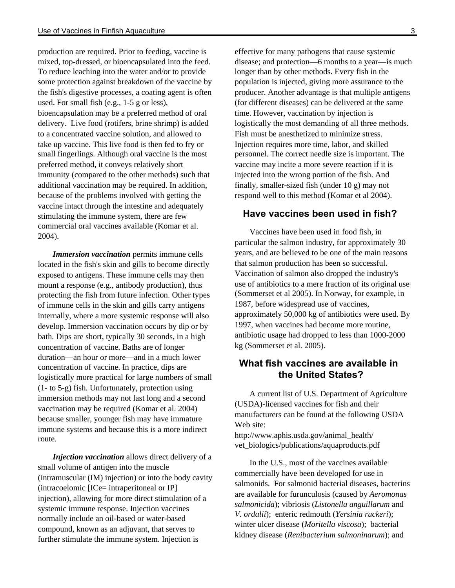production are required. Prior to feeding, vaccine is mixed, top-dressed, or bioencapsulated into the feed. To reduce leaching into the water and/or to provide some protection against breakdown of the vaccine by the fish's digestive processes, a coating agent is often used. For small fish (e.g., 1-5 g or less), bioencapsulation may be a preferred method of oral delivery. Live food (rotifers, brine shrimp) is added to a concentrated vaccine solution, and allowed to take up vaccine. This live food is then fed to fry or small fingerlings. Although oral vaccine is the most preferred method, it conveys relatively short immunity (compared to the other methods) such that additional vaccination may be required. In addition, because of the problems involved with getting the vaccine intact through the intestine and adequately stimulating the immune system, there are few commercial oral vaccines available (Komar et al. 2004).

*Immersion vaccination* permits immune cells located in the fish's skin and gills to become directly exposed to antigens. These immune cells may then mount a response (e.g., antibody production), thus protecting the fish from future infection. Other types of immune cells in the skin and gills carry antigens internally, where a more systemic response will also develop. Immersion vaccination occurs by dip or by bath. Dips are short, typically 30 seconds, in a high concentration of vaccine. Baths are of longer duration—an hour or more—and in a much lower concentration of vaccine. In practice, dips are logistically more practical for large numbers of small (1- to 5-g) fish. Unfortunately, protection using immersion methods may not last long and a second vaccination may be required (Komar et al. 2004) because smaller, younger fish may have immature immune systems and because this is a more indirect route.

*Injection vaccination* allows direct delivery of a small volume of antigen into the muscle (intramuscular (IM) injection) or into the body cavity (intracoelomic [ICe= intraperitoneal or IP] injection), allowing for more direct stimulation of a systemic immune response. Injection vaccines normally include an oil-based or water-based compound, known as an adjuvant, that serves to further stimulate the immune system. Injection is

effective for many pathogens that cause systemic disease; and protection—6 months to a year—is much longer than by other methods. Every fish in the population is injected, giving more assurance to the producer. Another advantage is that multiple antigens (for different diseases) can be delivered at the same time. However, vaccination by injection is logistically the most demanding of all three methods. Fish must be anesthetized to minimize stress. Injection requires more time, labor, and skilled personnel. The correct needle size is important. The vaccine may incite a more severe reaction if it is injected into the wrong portion of the fish. And finally, smaller-sized fish (under 10 g) may not respond well to this method (Komar et al 2004).

### **Have vaccines been used in fish?**

Vaccines have been used in food fish, in particular the salmon industry, for approximately 30 years, and are believed to be one of the main reasons that salmon production has been so successful. Vaccination of salmon also dropped the industry's use of antibiotics to a mere fraction of its original use (Sommerset et al 2005). In Norway, for example, in 1987, before widespread use of vaccines, approximately 50,000 kg of antibiotics were used. By 1997, when vaccines had become more routine, antibiotic usage had dropped to less than 1000-2000 kg (Sommerset et al. 2005).

## **What fish vaccines are available in the United States?**

A current list of U.S. Department of Agriculture (USDA)-licensed vaccines for fish and their manufacturers can be found at the following USDA Web site:

http://www.aphis.usda.gov/animal\_health/ vet\_biologics/publications/aquaproducts.pdf

In the U.S., most of the vaccines available commercially have been developed for use in salmonids. For salmonid bacterial diseases, bacterins are available for furunculosis (caused by *Aeromonas salmonicida*); vibriosis (*Listonella anguillarum* and *V. ordalii*); enteric redmouth (*Yersinia ruckeri*); winter ulcer disease (*Moritella viscosa*); bacterial kidney disease (*Renibacterium salmoninarum*); and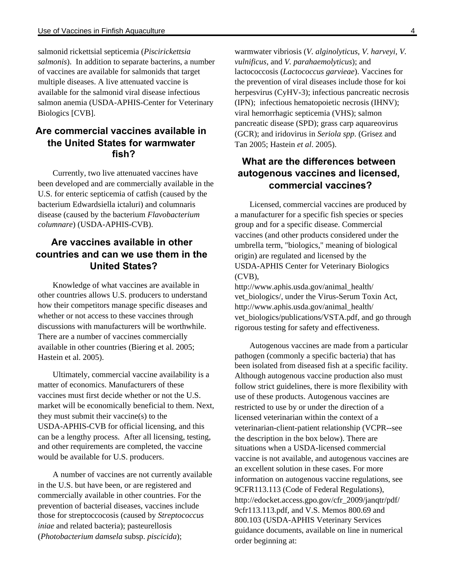salmonid rickettsial septicemia (*Piscirickettsia salmonis*). In addition to separate bacterins, a number of vaccines are available for salmonids that target multiple diseases. A live attenuated vaccine is available for the salmonid viral disease infectious salmon anemia (USDA-APHIS-Center for Veterinary Biologics [CVB].

# **Are commercial vaccines available in the United States for warmwater fish?**

Currently, two live attenuated vaccines have been developed and are commercially available in the U.S. for enteric septicemia of catfish (caused by the bacterium Edwardsiella ictaluri) and columnaris disease (caused by the bacterium *Flavobacterium columnare*) (USDA-APHIS-CVB).

# **Are vaccines available in other countries and can we use them in the United States?**

Knowledge of what vaccines are available in other countries allows U.S. producers to understand how their competitors manage specific diseases and whether or not access to these vaccines through discussions with manufacturers will be worthwhile. There are a number of vaccines commercially available in other countries (Biering et al. 2005; Hastein et al. 2005).

Ultimately, commercial vaccine availability is a matter of economics. Manufacturers of these vaccines must first decide whether or not the U.S. market will be economically beneficial to them. Next, they must submit their vaccine(s) to the USDA-APHIS-CVB for official licensing, and this can be a lengthy process. After all licensing, testing, and other requirements are completed, the vaccine would be available for U.S. producers.

A number of vaccines are not currently available in the U.S. but have been, or are registered and commercially available in other countries. For the prevention of bacterial diseases, vaccines include those for streptoccocosis (caused by *Streptococcus iniae* and related bacteria); pasteurellosis (*Photobacterium damsela* subsp. *piscicida*);

warmwater vibriosis (*V. alginolyticus*, *V. harveyi, V. vulnificus*, and *V. parahaemolyticus*); and lactococcosis (*Lactococcus garvieae*). Vaccines for the prevention of viral diseases include those for koi herpesvirus (CyHV-3); infectious pancreatic necrosis (IPN); infectious hematopoietic necrosis (IHNV); viral hemorrhagic septicemia (VHS); salmon pancreatic disease (SPD); grass carp aquareovirus (GCR); and iridovirus in *Seriola spp*. (Grisez and Tan 2005; Hastein *et al*. 2005).

# **What are the differences between autogenous vaccines and licensed, commercial vaccines?**

Licensed, commercial vaccines are produced by a manufacturer for a specific fish species or species group and for a specific disease. Commercial vaccines (and other products considered under the umbrella term, "biologics," meaning of biological origin) are regulated and licensed by the USDA-APHIS Center for Veterinary Biologics (CVB),

http://www.aphis.usda.gov/animal\_health/ vet\_biologics/, under the Virus-Serum Toxin Act, http://www.aphis.usda.gov/animal\_health/ vet\_biologics/publications/VSTA.pdf, and go through rigorous testing for safety and effectiveness.

Autogenous vaccines are made from a particular pathogen (commonly a specific bacteria) that has been isolated from diseased fish at a specific facility. Although autogenous vaccine production also must follow strict guidelines, there is more flexibility with use of these products. Autogenous vaccines are restricted to use by or under the direction of a licensed veterinarian within the context of a veterinarian-client-patient relationship (VCPR--see the description in the box below). There are situations when a USDA-licensed commercial vaccine is not available, and autogenous vaccines are an excellent solution in these cases. For more information on autogenous vaccine regulations, see 9CFR113.113 (Code of Federal Regulations), http://edocket.access.gpo.gov/cfr\_2009/janqtr/pdf/ 9cfr113.113.pdf, and V.S. Memos 800.69 and 800.103 (USDA-APHIS Veterinary Services guidance documents, available on line in numerical order beginning at: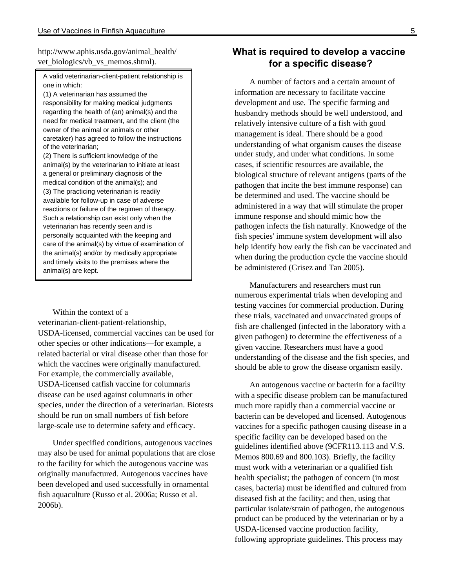http://www.aphis.usda.gov/animal\_health/ vet biologics/vb vs memos.shtml).

A valid veterinarian-client-patient relationship is one in which:

(1) A veterinarian has assumed the responsibility for making medical judgments regarding the health of (an) animal(s) and the need for medical treatment, and the client (the owner of the animal or animals or other caretaker) has agreed to follow the instructions of the veterinarian;

(2) There is sufficient knowledge of the animal(s) by the veterinarian to initiate at least a general or preliminary diagnosis of the medical condition of the animal(s); and (3) The practicing veterinarian is readily available for follow-up in case of adverse reactions or failure of the regimen of therapy. Such a relationship can exist only when the veterinarian has recently seen and is personally acquainted with the keeping and care of the animal(s) by virtue of examination of the animal(s) and/or by medically appropriate and timely visits to the premises where the animal(s) are kept.

Within the context of a veterinarian-client-patient-relationship, USDA-licensed, commercial vaccines can be used for other species or other indications—for example, a related bacterial or viral disease other than those for which the vaccines were originally manufactured. For example, the commercially available, USDA-licensed catfish vaccine for columnaris disease can be used against columnaris in other species, under the direction of a veterinarian. Biotests should be run on small numbers of fish before large-scale use to determine safety and efficacy.

Under specified conditions, autogenous vaccines may also be used for animal populations that are close to the facility for which the autogenous vaccine was originally manufactured. Autogenous vaccines have been developed and used successfully in ornamental fish aquaculture (Russo et al. 2006a; Russo et al. 2006b).

## **What is required to develop a vaccine for a specific disease?**

A number of factors and a certain amount of information are necessary to facilitate vaccine development and use. The specific farming and husbandry methods should be well understood, and relatively intensive culture of a fish with good management is ideal. There should be a good understanding of what organism causes the disease under study, and under what conditions. In some cases, if scientific resources are available, the biological structure of relevant antigens (parts of the pathogen that incite the best immune response) can be determined and used. The vaccine should be administered in a way that will stimulate the proper immune response and should mimic how the pathogen infects the fish naturally. Knowedge of the fish species' immune system development will also help identify how early the fish can be vaccinated and when during the production cycle the vaccine should be administered (Grisez and Tan 2005).

Manufacturers and researchers must run numerous experimental trials when developing and testing vaccines for commercial production. During these trials, vaccinated and unvaccinated groups of fish are challenged (infected in the laboratory with a given pathogen) to determine the effectiveness of a given vaccine. Researchers must have a good understanding of the disease and the fish species, and should be able to grow the disease organism easily.

An autogenous vaccine or bacterin for a facility with a specific disease problem can be manufactured much more rapidly than a commercial vaccine or bacterin can be developed and licensed. Autogenous vaccines for a specific pathogen causing disease in a specific facility can be developed based on the guidelines identified above (9CFR113.113 and V.S. Memos 800.69 and 800.103). Briefly, the facility must work with a veterinarian or a qualified fish health specialist; the pathogen of concern (in most cases, bacteria) must be identified and cultured from diseased fish at the facility; and then, using that particular isolate/strain of pathogen, the autogenous product can be produced by the veterinarian or by a USDA-licensed vaccine production facility, following appropriate guidelines. This process may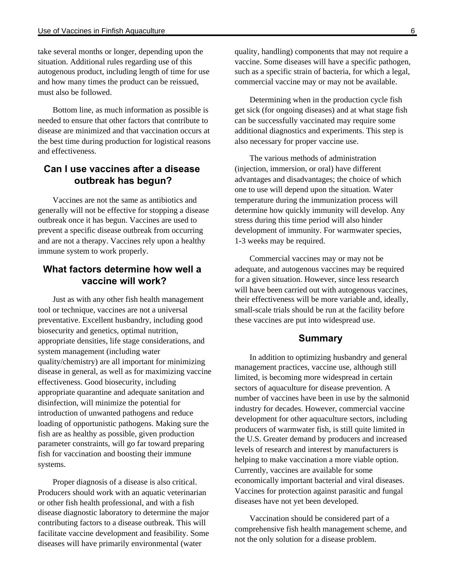take several months or longer, depending upon the situation. Additional rules regarding use of this autogenous product, including length of time for use and how many times the product can be reissued, must also be followed.

Bottom line, as much information as possible is needed to ensure that other factors that contribute to disease are minimized and that vaccination occurs at the best time during production for logistical reasons and effectiveness.

# **Can I use vaccines after a disease outbreak has begun?**

Vaccines are not the same as antibiotics and generally will not be effective for stopping a disease outbreak once it has begun. Vaccines are used to prevent a specific disease outbreak from occurring and are not a therapy. Vaccines rely upon a healthy immune system to work properly.

# **What factors determine how well a vaccine will work?**

Just as with any other fish health management tool or technique, vaccines are not a universal preventative. Excellent husbandry, including good biosecurity and genetics, optimal nutrition, appropriate densities, life stage considerations, and system management (including water quality/chemistry) are all important for minimizing disease in general, as well as for maximizing vaccine effectiveness. Good biosecurity, including appropriate quarantine and adequate sanitation and disinfection, will minimize the potential for introduction of unwanted pathogens and reduce loading of opportunistic pathogens. Making sure the fish are as healthy as possible, given production parameter constraints, will go far toward preparing fish for vaccination and boosting their immune systems.

Proper diagnosis of a disease is also critical. Producers should work with an aquatic veterinarian or other fish health professional, and with a fish disease diagnostic laboratory to determine the major contributing factors to a disease outbreak. This will facilitate vaccine development and feasibility. Some diseases will have primarily environmental (water

quality, handling) components that may not require a vaccine. Some diseases will have a specific pathogen, such as a specific strain of bacteria, for which a legal, commercial vaccine may or may not be available.

Determining when in the production cycle fish get sick (for ongoing diseases) and at what stage fish can be successfully vaccinated may require some additional diagnostics and experiments. This step is also necessary for proper vaccine use.

The various methods of administration (injection, immersion, or oral) have different advantages and disadvantages; the choice of which one to use will depend upon the situation. Water temperature during the immunization process will determine how quickly immunity will develop. Any stress during this time period will also hinder development of immunity. For warmwater species, 1-3 weeks may be required.

Commercial vaccines may or may not be adequate, and autogenous vaccines may be required for a given situation. However, since less research will have been carried out with autogenous vaccines, their effectiveness will be more variable and, ideally, small-scale trials should be run at the facility before these vaccines are put into widespread use.

#### **Summary**

In addition to optimizing husbandry and general management practices, vaccine use, although still limited, is becoming more widespread in certain sectors of aquaculture for disease prevention. A number of vaccines have been in use by the salmonid industry for decades. However, commercial vaccine development for other aquaculture sectors, including producers of warmwater fish, is still quite limited in the U.S. Greater demand by producers and increased levels of research and interest by manufacturers is helping to make vaccination a more viable option. Currently, vaccines are available for some economically important bacterial and viral diseases. Vaccines for protection against parasitic and fungal diseases have not yet been developed.

Vaccination should be considered part of a comprehensive fish health management scheme, and not the only solution for a disease problem.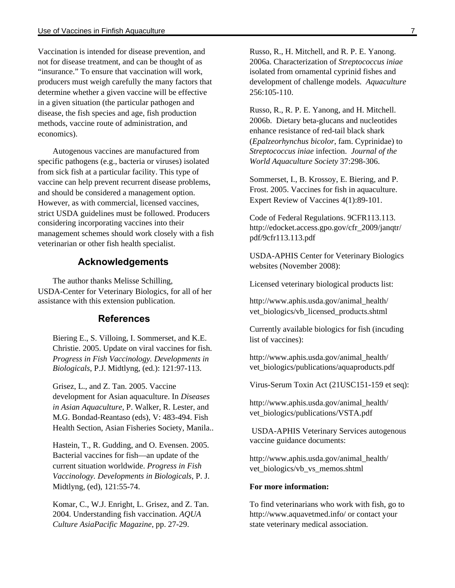Vaccination is intended for disease prevention, and not for disease treatment, and can be thought of as "insurance." To ensure that vaccination will work, producers must weigh carefully the many factors that determine whether a given vaccine will be effective in a given situation (the particular pathogen and disease, the fish species and age, fish production methods, vaccine route of administration, and economics).

Autogenous vaccines are manufactured from specific pathogens (e.g., bacteria or viruses) isolated from sick fish at a particular facility. This type of vaccine can help prevent recurrent disease problems, and should be considered a management option. However, as with commercial, licensed vaccines, strict USDA guidelines must be followed. Producers considering incorporating vaccines into their management schemes should work closely with a fish veterinarian or other fish health specialist.

#### **Acknowledgements**

The author thanks Melisse Schilling, USDA-Center for Veterinary Biologics, for all of her assistance with this extension publication.

#### **References**

Biering E., S. Villoing, I. Sommerset, and K.E. Christie. 2005. Update on viral vaccines for fish. *Progress in Fish Vaccinology. Developments in Biologicals*, P.J. Midtlyng, (ed.): 121:97-113.

Grisez, L., and Z. Tan. 2005. Vaccine development for Asian aquaculture. In *Diseases in Asian Aquaculture*, P. Walker, R. Lester, and M.G. Bondad-Reantaso (eds), V: 483-494. Fish Health Section, Asian Fisheries Society, Manila..

Hastein, T., R. Gudding, and O. Evensen. 2005. Bacterial vaccines for fish—an update of the current situation worldwide. *Progress in Fish Vaccinology. Developments in Biologicals*, P. J. Midtlyng, (ed), 121:55-74.

Komar, C., W.J. Enright, L. Grisez, and Z. Tan. 2004. Understanding fish vaccination. *AQUA Culture AsiaPacific Magazine*, pp. 27-29.

Russo, R., H. Mitchell, and R. P. E. Yanong. 2006a. Characterization of *Streptococcus iniae* isolated from ornamental cyprinid fishes and development of challenge models. *Aquaculture* 256:105-110.

Russo, R., R. P. E. Yanong, and H. Mitchell. 2006b. Dietary beta-glucans and nucleotides enhance resistance of red-tail black shark (*Epalzeorhynchus bicolor*, fam. Cyprinidae) to *Streptococcus iniae* infection. *Journal of the World Aquaculture Society* 37:298-306.

Sommerset, I., B. Krossoy, E. Biering, and P. Frost. 2005. Vaccines for fish in aquaculture. Expert Review of Vaccines 4(1):89-101.

Code of Federal Regulations. 9CFR113.113. http://edocket.access.gpo.gov/cfr\_2009/janqtr/ pdf/9cfr113.113.pdf

USDA-APHIS Center for Veterinary Biologics websites (November 2008):

Licensed veterinary biological products list: 

http://www.aphis.usda.gov/animal\_health/ vet biologics/vb\_licensed\_products.shtml

Currently available biologics for fish (incuding list of vaccines):

http://www.aphis.usda.gov/animal\_health/ vet\_biologics/publications/aquaproducts.pdf

Virus-Serum Toxin Act (21USC151-159 et seq):

http://www.aphis.usda.gov/animal\_health/ vet\_biologics/publications/VSTA.pdf

 USDA-APHIS Veterinary Services autogenous vaccine guidance documents:

http://www.aphis.usda.gov/animal\_health/ vet\_biologics/vb\_vs\_memos.shtml

#### **For more information:**

To find veterinarians who work with fish, go to http://www.aquavetmed.info/ or contact your state veterinary medical association.